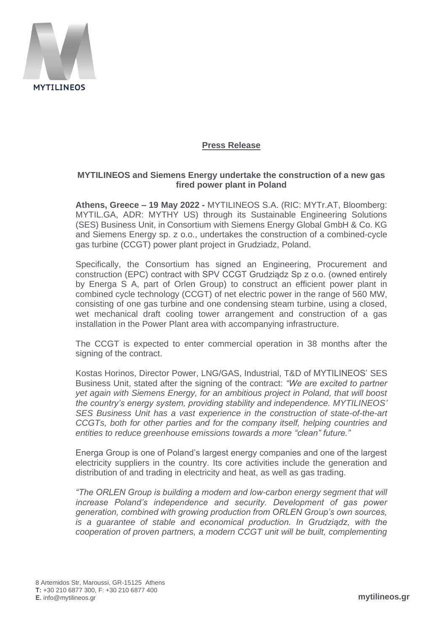

## **Press Release**

## **MYTILINEOS and Siemens Energy undertake the construction of a new gas fired power plant in Poland**

**Athens, Greece – 19 May 2022 -** MYTILINEOS S.A. (RIC: MYTr.AT, Bloomberg: MYTIL.GA, ADR: MYTHY US) through its Sustainable Engineering Solutions (SES) Business Unit, in Consortium with Siemens Energy Global GmbH & Co. KG and Siemens Energy sp. z o.o., undertakes the construction of a combined-cycle gas turbine (CCGT) power plant project in Grudziadz, Poland.

Specifically, the Consortium has signed an Engineering, Procurement and construction (EPC) contract with SPV CCGT Grudziądz Sp z o.o. (owned entirely by Energa S A, part of Orlen Group) to construct an efficient power plant in combined cycle technology (CCGT) of net electric power in the range of 560 MW, consisting of one gas turbine and one condensing steam turbine, using a closed, wet mechanical draft cooling tower arrangement and construction of a gas installation in the Power Plant area with accompanying infrastructure.

The CCGT is expected to enter commercial operation in 38 months after the signing of the contract.

Kostas Horinos, Director Power, LNG/GAS, Industrial, T&D of MYTILINEOS' SES Business Unit, stated after the signing of the contract: *"We are excited to partner yet again with Siemens Energy, for an ambitious project in Poland, that will boost the country's energy system, providing stability and independence. MYTILINEOS' SES Business Unit has a vast experience in the construction of state-of-the-art CCGTs, both for other parties and for the company itself, helping countries and entities to reduce greenhouse emissions towards a more "clean" future."*

Energa Group is one of Poland's largest energy companies and one of the largest electricity suppliers in the country. Its core activities include the generation and distribution of and trading in electricity and heat, as well as gas trading.

*"The ORLEN Group is building a modern and low-carbon energy segment that will increase Poland's independence and security. Development of gas power generation, combined with growing production from ORLEN Group's own sources, is a guarantee of stable and economical production. In Grudziądz, with the cooperation of proven partners, a modern CCGT unit will be built, complementing*